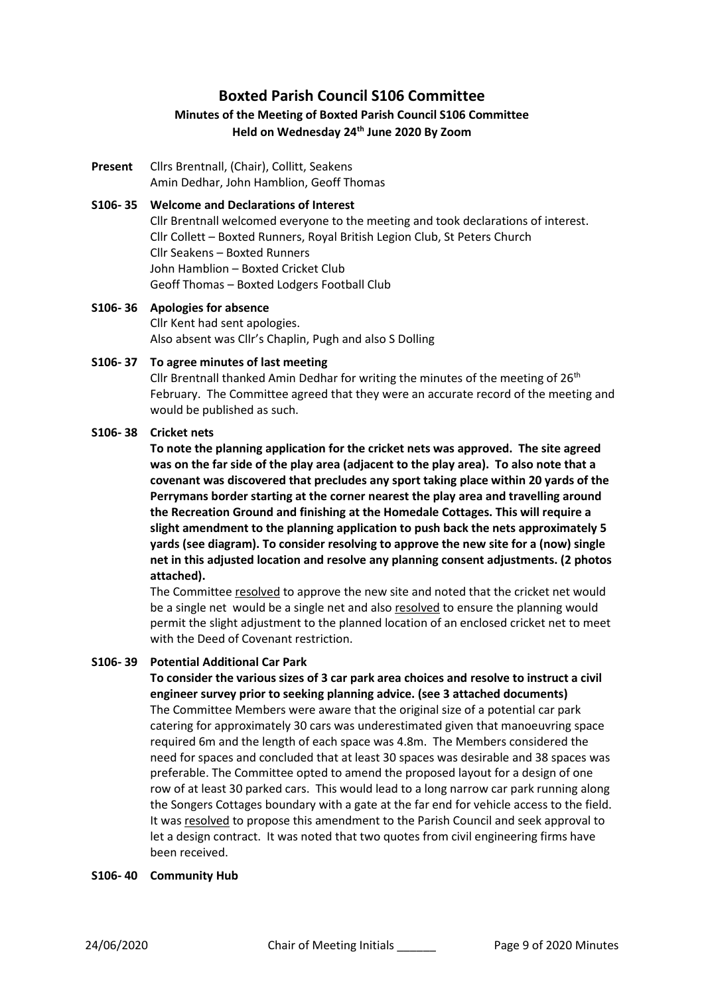# **Boxted Parish Council S106 Committee**

# **Minutes of the Meeting of Boxted Parish Council S106 Committee Held on Wednesday 24th June 2020 By Zoom**

**Present** Cllrs Brentnall, (Chair), Collitt, Seakens Amin Dedhar, John Hamblion, Geoff Thomas

# **S106- 35 Welcome and Declarations of Interest**

Cllr Brentnall welcomed everyone to the meeting and took declarations of interest. Cllr Collett – Boxted Runners, Royal British Legion Club, St Peters Church Cllr Seakens – Boxted Runners John Hamblion – Boxted Cricket Club Geoff Thomas – Boxted Lodgers Football Club

**S106- 36 Apologies for absence** Cllr Kent had sent apologies. Also absent was Cllr's Chaplin, Pugh and also S Dolling

### **S106- 37 To agree minutes of last meeting**

Cllr Brentnall thanked Amin Dedhar for writing the minutes of the meeting of  $26<sup>th</sup>$ February. The Committee agreed that they were an accurate record of the meeting and would be published as such.

### **S106- 38 Cricket nets**

**To note the planning application for the cricket nets was approved. The site agreed was on the far side of the play area (adjacent to the play area). To also note that a covenant was discovered that precludes any sport taking place within 20 yards of the Perrymans border starting at the corner nearest the play area and travelling around the Recreation Ground and finishing at the Homedale Cottages. This will require a slight amendment to the planning application to push back the nets approximately 5 yards (see diagram). To consider resolving to approve the new site for a (now) single net in this adjusted location and resolve any planning consent adjustments. (2 photos attached).**

The Committee resolved to approve the new site and noted that the cricket net would be a single net would be a single net and also resolved to ensure the planning would permit the slight adjustment to the planned location of an enclosed cricket net to meet with the Deed of Covenant restriction.

# **S106- 39 Potential Additional Car Park**

# **To consider the various sizes of 3 car park area choices and resolve to instruct a civil engineer survey prior to seeking planning advice. (see 3 attached documents)**

The Committee Members were aware that the original size of a potential car park catering for approximately 30 cars was underestimated given that manoeuvring space required 6m and the length of each space was 4.8m. The Members considered the need for spaces and concluded that at least 30 spaces was desirable and 38 spaces was preferable. The Committee opted to amend the proposed layout for a design of one row of at least 30 parked cars. This would lead to a long narrow car park running along the Songers Cottages boundary with a gate at the far end for vehicle access to the field. It was resolved to propose this amendment to the Parish Council and seek approval to let a design contract. It was noted that two quotes from civil engineering firms have been received.

### **S106- 40 Community Hub**